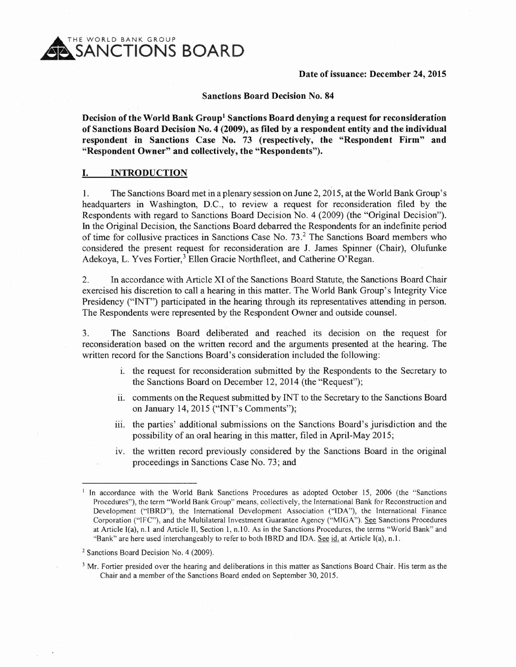THE WORLD BANK GROUP **SANCTIONS BOARD** 

## Date of issuance: December 24, 2015

#### Sanctions Board Decision No. 84

Decision of the World Bank Group<sup>1</sup> Sanctions Board denying a request for reconsideration of Sanctions Board Decision No.4 (2009), as filed by a respondent entity and the individual respondent in Sanctions Case No. 73 (respectively, the "Respondent Firm" and "Respondent Owner" and collectively, the "Respondents").

### I. INTRODUCTION

1. The Sanctions Board met in a plenary session on June 2,2015, at the World Bank Group's headquarters in Washington, D.C., to review a request for reconsideration filed by the Respondents with regard to Sanctions Board Decision No.4 (2009) (the "Original Decision"). In the Original Decision, the Sanctions Board debarred the Respondents for an indefinite period of time for collusive practices in Sanctions Case No. 73? The Sanctions Board members who considered the present request for reconsideration are J. James Spinner (Chair), Olufunke Adekoya, L. Yves Fortier,<sup>3</sup> Ellen Gracie Northfleet, and Catherine O'Regan.

2. In accordance with Article XI of the Sanctions Board Statute, the Sanctions Board Chair exercised his discretion to call a hearing in this matter. The World Bank Group's Integrity Vice Presidency ("INT") participated in the hearing through its representatives attending in person. The Respondents were represented by the Respondent Owner and outside counsel.

3. The Sanctions Board deliberated and reached its decision on the request for reconsideration based on the written record and the arguments presented at the hearing. The written record for the Sanctions Board's consideration included the following:

- 1. the request for reconsideration submitted by the Respondents to the Secretary to the Sanctions Board on December 12,2014 (the "Request");
- ii. comments on the Request submitted by INT to the Secretary to the Sanctions Board on January 14,2015 ("INT's Comments");
- iii. the parties' additional submissions on the Sanctions Board's jurisdiction and the possibility of an oral hearing in this matter, filed in April-May 2015;
- iv. the written record previously considered by the Sanctions Board in the original proceedings in Sanctions Case No. 73; and

<sup>&</sup>lt;sup>1</sup> In accordance with the World Bank Sanctions Procedures as adopted October 15, 2006 (the "Sanctions Procedures"), the term "World Bank Group" means, collectively, the International Bank for Reconstruction and Development ("IBRD"), the International Development Association ("IDA"), the International Finance Corporation ("IFC"), and the Multilateral Investment Guarantee Agency ("MIGA"). See Sanctions Procedures at Article I(a), n.l and Article II, Section 1, n.IO. As in the Sanctions Procedures, the terms "World Bank" and "Bank" are here used interchangeably to refer to both IBRD and IDA. See id. at Article I(a), n.1.

<sup>&</sup>lt;sup>2</sup> Sanctions Board Decision No. 4 (2009).

<sup>&</sup>lt;sup>3</sup> Mr. Fortier presided over the hearing and deliberations in this matter as Sanctions Board Chair. His term as the Chair and a member of the Sanctions Board ended on September 30, 2015.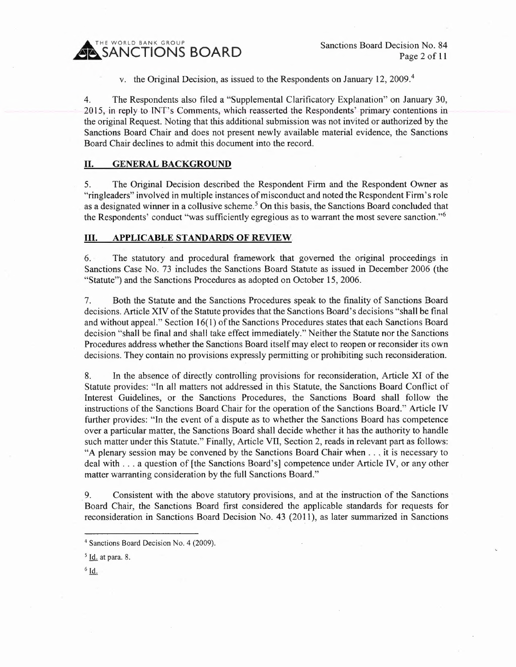**INE WORLD BANK GROUP**<br>SANCTIONS BOARD

Sanctions Board Decision No. 84 Page 2 of 11

v. the Original Decision, as issued to the Respondents on January 12, 2009.<sup>4</sup>

4. The Respondents also filed a "Supplemental Clarificatory Explanation" on January 30, 2015, in reply to TNT's Comments, which reasserted the Respondents' primary contentions in the original Request. Noting that this additional submission was not invited or authorized by the Sanctions Board Chair and does not present newly available material evidence, the Sanctions Board Chair declines to admit this document into the record.

### II. GENERAL BACKGROUND

5. The Original Decision described the Respondent Firm and the Respondent Owner as "ringleaders" involved in multiple instances of misconduct and noted the Respondent Firm's role as a designated winner in a collusive scheme.<sup>5</sup> On this basis, the Sanctions Board concluded that the Respondents' conduct "was sufficiently egregious as to warrant the most severe sanction."<sup>6</sup>

#### III. APPLICABLE STANDARDS OF REVIEW.

6. The statutory and procedural framework that governed the original proceedings in Sanctions Case No. 73 includes the Sanctions Board Statute as issued in December 2006 (the "Statute") and the Sanctions Procedures as adopted on October 15, 2006.

7. Both the Statute and the Sanctions Procedures speak to the finality of Sanctions Board decisions. Article XIV of the Statute provides that the Sanctions Board's decisions "shall be final and without appeal." Section 16(1) of the Sanctions Procedures states that each Sanctions Board decision "shall be final and shall take effect immediately." Neither the Statute nor the Sanctions Procedures address whether the Sanctions Board itself may elect to reopen or reconsider its own decisions. They contain no provisions expressly permitting or prohibiting such reconsideration.

8. In the absence of directly controlling provisions for reconsideration, Article XI of the Statute provides: "In all matters not addressed in this Statute, the Sanctions Board Conflict of Interest Guidelines, or the Sanctions Procedures, the Sanctions Board shall follow the instructions of the Sanctions Board Chair for the operation of the Sanctions Board." Article IV further provides: "In the event of a dispute as to whether the Sanctions Board has competence over a particular matter, the Sanctions Board shall decide whether it has the authority to handle such matter under this Statute." Finally, Article VII, Section 2, reads in relevant part as follows: "A plenary session may be convened by the Sanctions Board Chair when ... it is necessary to deal with . . . a question of [the Sanctions Board's] competence under Article IV, or any other matter warranting consideration by the full Sanctions Board."

9. Consistent with the above statutory provisions, and at the instruction of the Sanctions Board Chair, the Sanctions Board first considered the applicable standards for requests for reconsideration in Sanctions Board Decision No. 43 (2011), as later summarized in Sanctions

 $6$   $\overline{\text{Id}}$ .

<sup>&</sup>lt;sup>4</sup> Sanctions Board Decision No. 4 (2009).

 $<sup>5</sup>$  Id. at para. 8.</sup>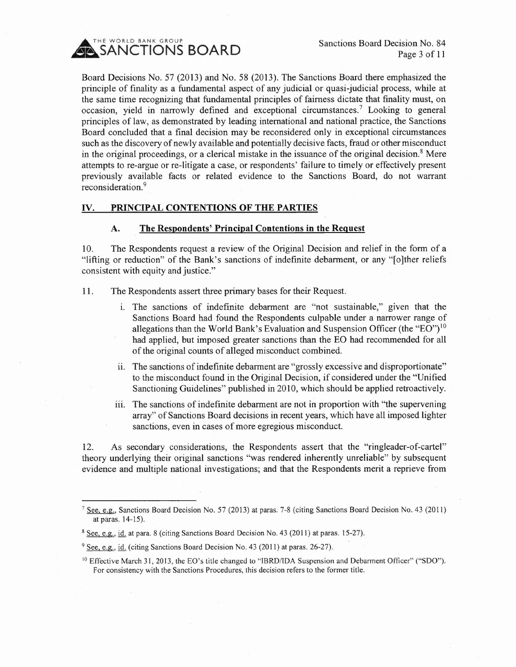

Board Decisions No. 57 (2013) and No. 58 (2013). The Sanctions Board there emphasized the principle of finality as a fundamental aspect of any judicial or quasi-judicial process, while at the same time recognizing that fundamental principles of fairness dictate that finality must, on occasion, yield in narrowly defined and exceptional circumstances." Looking to general principles of law, as demonstrated by leading international and national practice, the Sanctions Board concluded that a final decision may be reconsidered only in exceptional circumstances such as the discovery of newly available and potentially decisive facts, fraud or other misconduct in the original proceedings, or a clerical mistake in the issuance of the original decision.<sup>8</sup> Mere attempts to re-argue or re-litigate a case, or respondents' 'failure to timely or effectively present previously available facts or related evidence to the Sanctions Board, do not warrant reconsideration.<sup>9</sup>

# **IV. PRINCIPAL CONTENTIONS OF THE PARTIES**

## **A. The Respondents' Principal Contentions in the Request**

10. The Respondents request a review of the Original Decision and relief in the form of a "lifting or reduction" of the Bank's sanctions of indefinite debarment, or any "[o]ther reliefs consistent with equity and justice."

- 11. The Respondents assert three primary bases for their Request.
	- i. The sanctions of indefinite debarment are "not sustainable," given that the Sanctions Board had found the Respondents culpable under a narrower range of allegations than the World Bank's Evaluation and Suspension Officer (the "EO")<sup>10</sup> had applied, but imposed greater sanctions than the EO had recommended for all of the original counts of alleged misconduct combined.
	- ii. The sanctions of indefinite debarment are "grossly excessive and disproportionate" to the misconduct found in the Original Decision, if considered under the "Unified Sanctioning Guidelines" published in 2010, which should be applied retroactively.
	- iii. The sanctions of indefinite debarment are not in proportion with "the supervening" array" of Sanctions Board decisions in recent years, which have all imposed lighter sanctions, even in cases of more egregious misconduct.

12. As secondary considerations, the Respondents assert that the "ringleader-of-cartel" theory underlying their original sanctions "was rendered inherently unreliable" by subsequent evidence and multiple national investigations; and that the Respondents merit a reprieve from

<sup>&</sup>lt;sup>7</sup> See, e.g., Sanctions Board Decision No. 57 (2013) at paras. 7-8 (citing Sanctions Board Decision No. 43 (2011) at paras. 14-15).

<sup>&</sup>lt;sup>8</sup> See, e.g., id. at para. 8 (citing Sanctions Board Decision No. 43 (2011) at paras. 15-27).

<sup>&</sup>lt;sup>9</sup> See, e.g., id. (citing Sanctions Board Decision No. 43 (2011) at paras. 26-27).

<sup>&</sup>lt;sup>10</sup> Effective March 31, 2013, the EO's title changed to "IBRD/IDA Suspension and Debarment Officer" ("SDO"). For consistency with the Sanctions Procedures, this decision refers to the former title.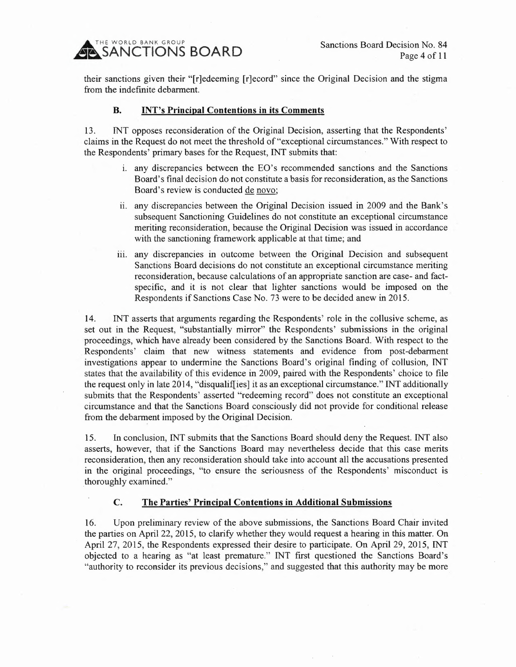THE WORLD BANK GROUP **A SANCTIONS BOARD** 

Sanctions Board Decision No. 84 Page 4 of 11

their sanctions given their "[r]edeeming [r]ecord" since the Original Decision and the stigma from the indefinite debarment.

#### B. INT's Principal Contentions in its Comments

13. INT opposes reconsideration of the Original Decision, asserting that the Respondents' claims in the Request do not meet the threshold of "exceptional circumstances." With respect to the Respondents' primary bases for the Request, INT submits that:

- 1. any discrepancies between the EO's recommended sanctions and the Sanctions Board's final decision do not constitute a basis for reconsideration, as the Sanctions Board's review is conducted de novo;
- ii. any discrepancies between the Original Decision issued in 2009 and the Bank's subsequent Sanctioning Guidelines do not constitute an exceptional circumstance meriting reconsideration, because the Original Decision was issued in accordance with the sanctioning framework applicable at that time; and
- iii. any discrepancies in outcome between the Original Decision and subsequent Sanctions Board decisions do not constitute an exceptional circumstance meriting reconsideration, because calculations of an appropriate sanction are case- and factspecific, and it is not clear that lighter sanctions would be imposed on the Respondents if Sanctions Case No. 73 were to be decided anew in 2015.

14. INT asserts that arguments regarding the Respondents' role in the collusive scheme, as set out in the Request, "substantially mirror" the Respondents' submissions in the original proceedings, which have already been considered by the Sanctions Board. With respect to the Respondents' claim that new witness statements and evidence from post-debarment investigations appear to undermine the Sanctions Board's original finding of collusion, INT states that the availability of this evidence in 2009, paired with the Respondents' choice to file the request only in late 2014, "disqualif] ies] it as an exceptional circumstance." INT additionally submits that the Respondents' asserted "redeeming record" does not constitute an exceptional circumstance and that the Sanctions Board consciously did not provide for conditional release from the debarment imposed by the Original Decision.

15. In conclusion, INT submits that the Sanctions Board should deny the Request. INT also asserts, however, that if the Sanctions Board may nevertheless decide that this case merits reconsideration, then any reconsideration should take into account all the accusations presented in the original proceedings, "to ensure the seriousness of the Respondents' misconduct is thoroughly examined."

## C. The Parties' Principal Contentions in Additional Submissions

16. Upon preliminary review of the above submissions, the Sanctions Board Chair invited the parties on April 22, 2015, to clarify whether they would request a hearing in this matter. On April 27, 2015, the Respondents expressed their desire to participate. On April 29, 2015, INT objected to a hearing as "at least premature." INT first questioned the Sanctions Board's "authority to reconsider its previous decisions," and suggested that this authority may be more.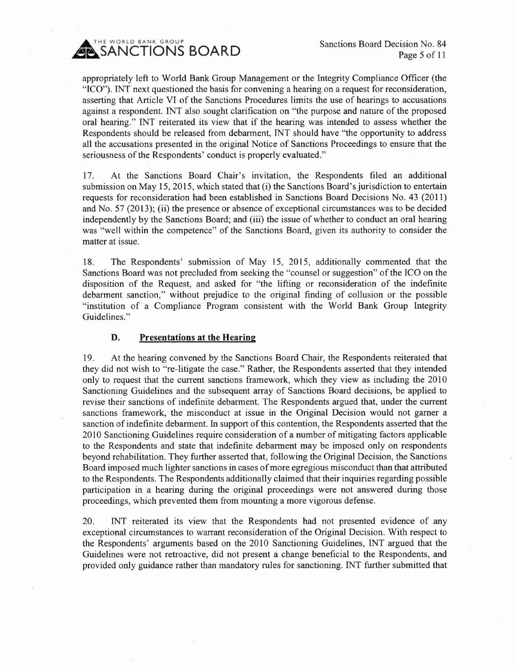Sanctions Board Decision No. 84 Page 5 of 11



appropriately left to World Bank Group Management or the Integrity Compliance Officer (the "ICO"). INT next questioned the basis for convening a hearing on a request for reconsideration, asserting that Article VI of the Sanctions Procedures limits the use of hearings to accusations against a respondent. INT also sought Clarification on "the purpose and nature of the proposed oral hearing." INT reiterated its view that if the hearing was intended to assess whether the Respondents should be released from debarment, INT should have "the opportunity to address all the accusations presented in the original Notice of Sanctions Proceedings to ensure that the seriousness of the Respondents' conduct is properly evaluated."

17. At the Sanctions Board Chair's invitation, the Respondents filed an additional submission on May 15,2015, which stated that (i) the Sanctions Board's jurisdiction to entertain requests for reconsideration had been established in Sanctions Board Decisions No. 43 (2011) and No. 57 (2013); (ii) the presence or absence of exceptional circumstances was to be decided independently by the Sanctions Board; and (iii) the issue of whether to conduct an oral hearing was "well within the competence" of the Sanctions Board, given its authority to consider the matter at issue.

18. The Respondents' submission of May 15, 2015, additionally commented that the Sanctions Board was not precluded from seeking the "counsel or suggestion" of the ICO on the disposition of the Request, and asked for "the lifting or reconsideration of the indefinite debarment sanction," without prejudice to the original finding of collusion or the possible "institution of a Compliance Program consistent with the World Bank Group Integrity Guidelines."

## **D. Presentations at the Hearing**

19. At the hearing convened by the Sanctions Board Chair, the Respondents reiterated that they did not wish to "re-litigate the case." Rather, the Respondents asserted that they intended only to request that the current sanctions framework, which they view as including the 2010 Sanctioning Guidelines and the subsequent array of Sanctions Board decisions, be applied to revise their sanctions of indefinite debarment. The Respondents argued that, under the current sanctions framework, the misconduct at issue in the Original Decision would not gamer a sanction of indefinite debarment. In support of this contention, the Respondents asserted that the 2010 Sanctioning Guidelines require consideration of a number of mitigating factors applicable to the Respondents and state that indefmite debarment may be imposed only on respondents beyond rehabilitation. They further asserted that, following the Original Decision, the Sanctions Board imposed much lighter sanctions in cases of more egregious misconduct than that attributed to the Respondents. The Respondents additionally claimed that their inquiries regarding possible participation in a hearing during the original proceedings were not answered during those proceedings, which prevented them from mounting a more vigorous defense.

20. INT reiterated its view that the Respondents had not presented evidence of any exceptional circumstances to warrant reconsideration of the Original Decision. With respect to the Respondents' arguments based on the 2010 Sanctioning Guidelines, INT argued that the Guidelines were not retroactive, did not present a change beneficial to the Respondents, and provided only guidance rather than mandatory rules for sanctioning. INT further submitted that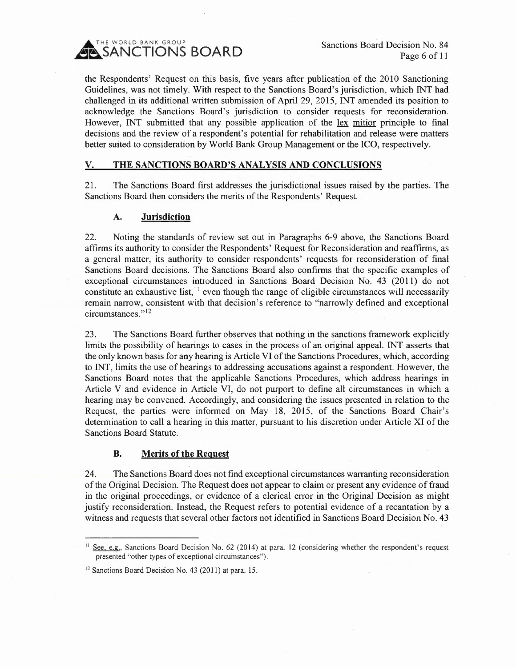SANCTIONS BOARD

Sanctions Board Decision No. 84 Page 6 of 11

the Respondents' Request on this basis, five years after publication of the 2010 Sanctioning Guidelines, was not timely. With respect to the Sanctions Board's jurisdiction, which INT had challenged in its additional written submission of April 29, 2015, INT amended its position to acknowledge the Sanctions Board's jurisdiction to consider requests for reconsideration. However, INT submitted that any possible application of the lex mitior principle to final decisions and the review of a respondent's potential for rehabilitation and release were matters better suited to consideration by World Bank Group Management or the ICO, respectively.

# v. THE SANCTIONS BOARD'S ANALYSIS AND CONCLUSIONS

21. The Sanctions Board first addresses the jurisdictional issues raised by the parties. The Sanctions Board then considers the merits of the Respondents' Request.

## A. Jurisdiction

22. Noting the standards of review set out in Paragraphs 6-9 above, the Sanctions Board affirms its authority to consider the Respondents' Request for Reconsideration and reaffirms, as a general matter, its authority to consider respondents' requests for reconsideration of final Sanctions Board decisions. The Sanctions Board also confirms that the specific examples of exceptional circumstances introduced in Sanctions Board Decision No. 43 (2011) do not constitute an exhaustive list,  $\frac{11}{11}$  even though the range of eligible circumstances will necessarily remain narrow, consistent with that decision's reference to "narrowly defined and exceptional circumstances."<sup>12</sup>

23. The Sanctions Board further observes that nothing in the sanctions framework explicitly limits the possibility of hearings to cases in the process of an original appeal. INT asserts that the only known basis for any hearing is Article VI of the Sanctions Procedures, which, according to INT, limits the use of hearings to addressing accusations against a respondent. However, the Sanctions Board notes that the applicable Sanctions Procedures, which address hearings in Article V and evidence in Article VI, do not purport to define all circumstances in which a hearing may be convened. Accordingly, and considering the issues presented in relation to the Request, the parties were informed on May 18, 2015, of the Sanctions Board Chair's determination to call a hearing in this matter, pursuant to his discretion under Article XI of the Sanctions Board Statute.

### B. Merits of the Request

24. The Sanctions Board does not find exceptional circumstances warranting reconsideration of the Original Decision. The Request does not appear to claim or present any evidence of fraud in the original proceedings, or evidence of a clerical error in the Original Decision as might justify reconsideration. Instead, the Request refers to potential evidence of a recantation by a witness and requests that several other factors not identified in Sanctions Board Decision No. 43

<sup>&</sup>lt;sup>11</sup> See, e.g., Sanctions Board Decision No. 62 (2014) at para. 12 (considering whether the respondent's request presented "other types of exceptional circumstances").

<sup>&</sup>lt;sup>12</sup> Sanctions Board Decision No. 43 (2011) at para. 15.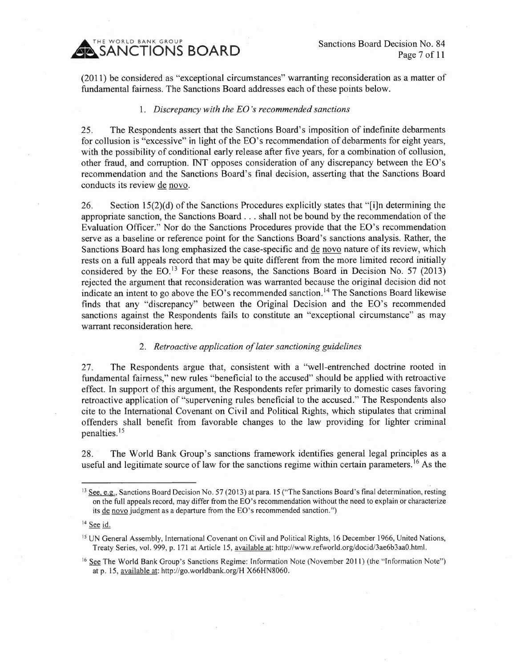THE WORLD BANK GROUP **SANCTIONS BOARD** 

Sanctions Board Decision No. 84 Page 7 of 11

(2011) be considered as "exceptional circumstances" warranting reconsideration as a matter of fundamental fairness. The Sanctions Board addresses each of these points below.

#### *1. Discrepancy with the EO's recommended sanctions*

25. The Respondents assert that the Sanctions Board's imposition of indefinite debarments for collusion is "excessive" in light of the EO's recommendation of debarments for eight years, with the possibility of conditional early release after five years, for a combination of collusion, other fraud, and corruption. INT opposes consideration of any discrepancy between the EO's recommendation and the Sanctions Board's final decision, asserting that the Sanctions Board conducts its review de novo.

26. Section 15(2)(d) of the Sanctions Procedures explicitly states that "[i]n determining the appropriate sanction, the Sanctions Board ... shall not be bound by the recommendation of the Evaluation Officer." Nor do the Sanctions Procedures provide that the EO's recommendation serve as a baseline or reference point for the Sanctions Board's sanctions analysis. Rather, the Sanctions Board has long emphasized the case-specific and de novo nature of its review, which rests on a full appeals record that may be quite different from the more limited record initially considered by the EO.<sup>13</sup> For these reasons, the Sanctions Board in Decision No. 57 (2013) rejected the argument that reconsideration was warranted because the original decision did not indicate an intent to go above the EO's recommended sanction.<sup>14</sup> The Sanctions Board likewise finds that any "discrepancy" between the Original Decision and the EO's recommended sanctions against the Respondents fails to constitute an "exceptional circumstance" as may warrant reconsideration here.

#### *2. Retroactive application of later sanctioning guidelines*

27. The Respondents argue that, consistent with a "well-entrenched doctrine rooted in fundamental fairness," new rules "beneficial to the accused" should be applied with retroactive effect. In support of this argument, the Respondents refer primarily to domestic cases favoring retroactive application of "supervening rules beneficial to the accused." The Respondents also cite to the International Covenant on Civil and Political Rights, which stipulates that criminal offenders shall benefit from favorable changes to the law providing for lighter criminal penalties.<sup>15</sup>

28. The World Bank Group's sanctions framework identifies general legal principles as a useful and legitimate source of law for the sanctions regime within certain parameters.<sup>16</sup> As the

<sup>&</sup>lt;sup>13</sup> See, e.g., Sanctions Board Decision No. 57 (2013) at para. 15 ("The Sanctions Board's final determination, resting on the full appeals record, may differ from the EO's recommendation without the need to explain or characterize its de novo judgment as a departure from the EO's recommended sanction.")

<sup>&</sup>lt;sup>14</sup> See id.

<sup>&</sup>lt;sup>15</sup> UN General Assembly, International Covenant on Civil and Political Rights, 16 December 1966, United Nations, Treaty Series, vol. 999, p. 171 at Article 15, available at: http://www.refworld.org/docid/3ae6b3aa0.html.

<sup>&</sup>lt;sup>16</sup> See The World Bank Group's Sanctions Regime: Information Note (November 2011) (the "Information Note") at p. 15, available at: http://go.worldbank.org/H X66HN8060.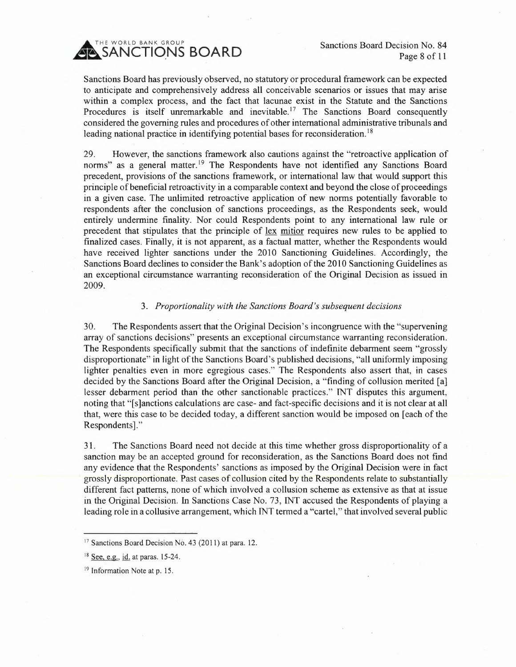SANCTIONS BOARD

Sanctions Board Decision No. 84 Page 8 of 11

Sanctions Board has previously observed, no statutory or procedural framework can be expected to anticipate and comprehensively address all conceivable scenarios or issues that may arise within a complex process, and the fact that lacunae exist in the Statute and the Sanctions Procedures is itself unremarkable and inevitable.<sup>17</sup> The Sanctions Board consequently considered the governing rules and procedures of other international administrative tribunals and leading national practice in identifying potential bases for reconsideration.<sup>18</sup>

29. However, the sanctions framework also cautions against the "retroactive application of norms" as a general matter.<sup>19</sup> The Respondents have not identified any Sanctions Board precedent, provisions of the sanctions framework, or international law that would support this principle of beneficial retroactivity in a comparable context and beyond the close of proceedings in a given case. The unlimited retroactive application of new norms potentially favorable to respondents after the conclusion of sanctions proceedings, as the Respondents seek, would entirely undermine finality. Nor could Respondents point to any international law rule or precedent that stipulates that the principle of lex mitior requires new rules to be applied to finalized cases. Finally, it is not apparent, as a factual matter, whether the Respondents would have received lighter sanctions under the 2010 Sanctioning Guidelines. Accordingly, the Sanctions Board declines to consider the Bank's adoption of the 2010 Sanctioning Guidelines as an exceptional circumstance warranting reconsideration of the Original Decision as issued in 2009.

# *3. Proportionality with the Sanctions Board's subsequent decisions*

30. The Respondents assert that the Original Decision's incongruence with the "supervening array of sanctions decisions" presents an exceptional circumstance warranting reconsideration. The Respondents specifically submit that the sanctions of indefinite debarment seem "grossly disproportionate" in light of the Sanctions Board's published decisions, "all uniformly imposing lighter penalties even in more egregious cases." The Respondents also assert that, in cases decided by the Sanctions Board after the Original Decision, a "finding of collusion merited [a] lesser debarment period than the other sanctionable practices." INT disputes this argument, noting that "[s]anctions calculations are case- and fact-specific decisions and it is not clear at all that, were this case to be decided today, a different sanction would be imposed on [each of the Respondents]."

31. The Sanctions Board need not decide at this time whether gross disproportionality of a sanction may be an accepted ground for reconsideration, as the Sanctions Board does not find any evidence that the Respondents' sanctions as imposed by the Original Decision were in fact grossly disproportionate. Past cases of collusion cited by the Respondents relate to substantially different fact patterns, none of which involved a collusion scheme as extensive as that at issue in the Original Decision. In Sanctions Case No. 73, TNT accused the Respondents of playing a leading role in a collusive arrangement, which TNT termed a "cartel," that involved several public

<sup>&</sup>lt;sup>17</sup> Sanctions Board Decision No. 43 (2011) at para. 12.

<sup>&</sup>lt;sup>18</sup> See, e.g., id. at paras. 15-24.

<sup>19</sup> Information Note at p. 15.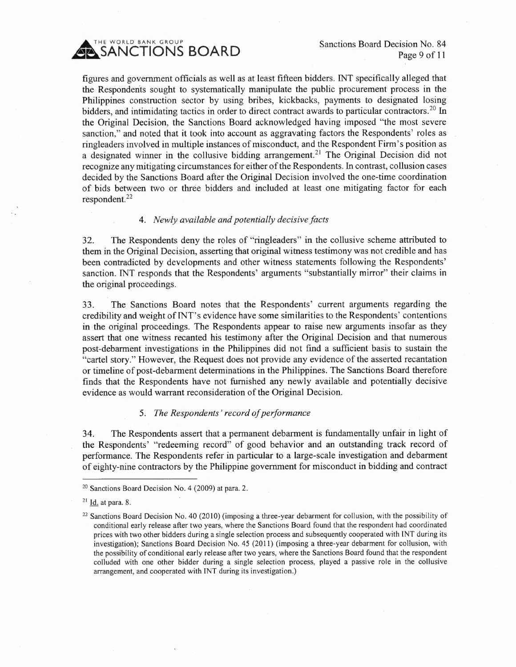

figures and government officials as well as at least fifteen bidders. INT specifically alleged that the Respondents sought to systematically manipulate the public procurement process in the Philippines construction sector by using bribes, kickbacks, payments to designated losing bidders, and intimidating tactics in order to direct contract awards to particular contractors.<sup>20</sup> In the Original Decision, the Sanctions Board acknowledged having imposed "the most severe sanction," and noted that it took into account as aggravating factors the Respondents' roles as ringleaders involved in multiple instances of misconduct, and the Respondent Firm's position as a designated winner in the collusive bidding arrangement.<sup>21</sup> The Original Decision did not recognize any mitigating circumstances for either of the Respondents. In contrast, collusion cases decided by the Sanctions Board after the Original Decision involved the one-time coordination of bids between two or three bidders and included at least one mitigating factor for each respondent. <sup>22</sup>

#### *4. Newly available and potentially decisive facts*

32. The Respondents deny the roles of "ringleaders" in the collusive scheme attributed to them in the Original Decision, asserting that original witness testimony was not credible and has been contradicted by developments and other witness statements following the Respondents' sanction. TNT responds that the Respondents' arguments "substantially mirror" their claims in the original proceedings.

33. The Sanctions Board notes that the Respondents' current arguments regarding the credibility and weight of TNT's evidence have some similarities to the Respondents' contentions in the original proceedings. The Respondents appear to raise new arguments insofar as they assert that one witness recanted his testimony after the Original Decision and that numerous post-debarment investigations in the Philippines did not fmd a sufficient basis to sustain the "cartel story." However, the Request does not provide any evidence of the asserted recantation or timeline of post-debarment determinations in the Philippines. The Sanctions Board therefore finds that the Respondents have not furnished any newly available and potentially decisive evidence as would warrant reconsideration of the Original Decision.

#### *5. The Respondents' record of performance*

34. The Respondents assert that a permanent debarment is fundamentally unfair in light of the Respondents' "redeeming record" of good behavior and an outstanding track record of performance. The Respondents refer in particular to a large-scale investigation and debarment of eighty-nine contractors by the Philippine government for misconduct in bidding and contract

<sup>&</sup>lt;sup>20</sup> Sanctions Board Decision No. 4 (2009) at para. 2.

 $21$  Id. at para. 8.

 $22$  Sanctions Board Decision No. 40 (2010) (imposing a three-year debarment for collusion, with the possibility of conditional early release after two years, where the Sanctions Board found that the respondent had coordinated prices with two other bidders during a single selection process and subsequently cooperated with [NT during its investigation); Sanctions Board Decision No. 45 (2011) (imposing a three-year debarment for collusion, with the possibility of conditional early release after two years, where the Sanctions Board found that the respondent colluded with one other bidder during a single selection process, played a passive role in the collusive arrangement, and cooperated with [NT during its investigation.)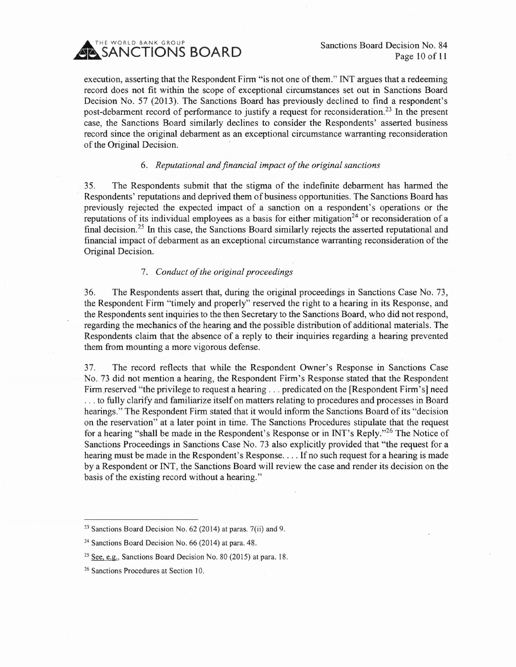

Sanctions Board Decision No. 84 Page 10 of 11.

execution, asserting that the Respondent Firm "is not one of them." INT argues that a redeeming record does not fit within the scope of exceptional circumstances set out in Sanctions Board Decision No. 57 (2013). The Sanctions Board has previously declined to find a respondent's post-debarment record of performance to justify a request for reconsideration.<sup>23</sup> In the present case, the Sanctions Board similarly declines to consider the Respondents' asserted business record since the original debarment as an exceptional circumstance warranting reconsideration of the Original Decision.

# *6. Reputational and financial impact of the original sanctions*

35. The Respondents submit that the stigma of the indefinite debarment has harmed the Respondents' reputations and deprived them of business opportunities. The Sanctions Board has previously rejected the expected impact of a sanction on a respondent's operations or the reputations of its individual employees as a basis for either mitigation<sup>24</sup> or reconsideration of a final decision.<sup>25</sup> In this case, the Sanctions Board similarly rejects the asserted reputational and financial impact of debarment as an exceptional circumstance warranting reconsideration of the Original Decision.

# *7. Conduct of the original proceedings*

36. The Respondents assert that, during the original proceedings in Sanctions Case No. 73, the Respondent Firm "timely and properly" reserved the right to a hearing in its Response, and the Respondents sent inquiries to the then Secretary to the Sanctions Board, who did not respond, regarding the mechanics of the hearing and the possible distribution of additional materials. The Respondents claim that the absence of a reply to their inquiries regarding a hearing prevented them from mounting a more vigorous defense.

37. The record reflects that while the Respondent Owner's Response in Sanctions Case No. 73 did not mention a hearing, the Respondent Firm's Response stated that the Respondent Firm reserved "the privilege to request a hearing ... predicated on the [Respondent Firm's] need ... to fully clarify and familiarize itself on matters relating to procedures and processes in Board hearings." The Respondent Firm stated that it would inform the Sanctions Board of its "decision on the reservation" at a later point in time. The Sanctions Procedures stipulate that the request for a hearing "shall be made in the Respondent's Response or in INT's Reply."<sup>26</sup> The Notice of Sanctions Proceedings in Sanctions Case No. 73 also explicitly provided that "the request for a hearing must be made in the Respondent's Response... If no such request for a hearing is made by a Respondent or INT, the Sanctions Board will review the case and render its decision on the basis of the existing record without a hearing."

 $23$  Sanctions Board Decision No. 62 (2014) at paras. 7(ii) and 9.

<sup>&</sup>lt;sup>24</sup> Sanctions Board Decision No. 66 (2014) at para. 48.

<sup>&</sup>lt;sup>25</sup> See, e.g., Sanctions Board Decision No. 80 (2015) at para. 18.

<sup>&</sup>lt;sup>26</sup> Sanctions Procedures at Section 10.